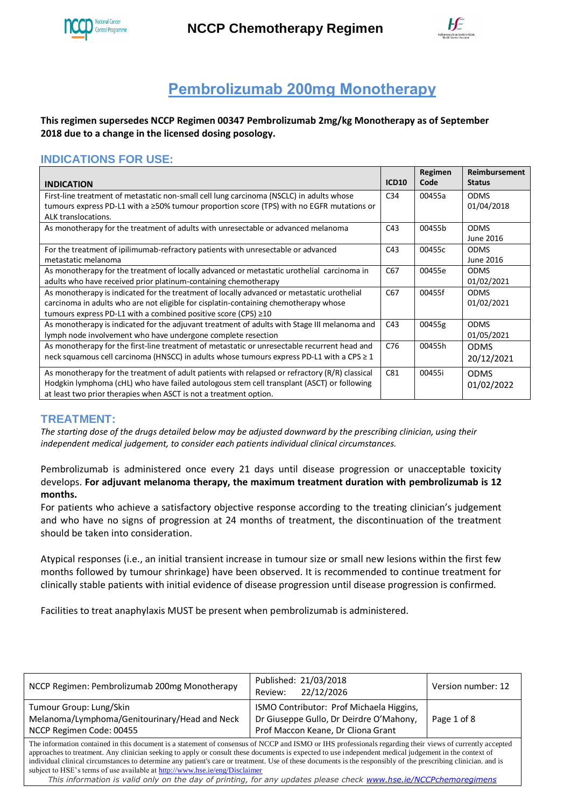

**NCCP Chemotherapy Regimen** 



# **Pembrolizumab 200mg Monotherapy**

**This regimen supersedes NCCP Regimen 00347 Pembrolizumab 2mg/kg Monotherapy as of September 2018 due to a change in the licensed dosing posology.**

# **INDICATIONS FOR USE:**

| <b>INDICATION</b>                                                                                                                                                                                                                                                 | <b>ICD10</b>    | Regimen<br>Code | Reimbursement<br><b>Status</b> |
|-------------------------------------------------------------------------------------------------------------------------------------------------------------------------------------------------------------------------------------------------------------------|-----------------|-----------------|--------------------------------|
| First-line treatment of metastatic non-small cell lung carcinoma (NSCLC) in adults whose<br>tumours express PD-L1 with a ≥50% tumour proportion score (TPS) with no EGFR mutations or<br>ALK translocations.                                                      | C34             | 00455a          | <b>ODMS</b><br>01/04/2018      |
| As monotherapy for the treatment of adults with unresectable or advanced melanoma                                                                                                                                                                                 | C43             | 00455b          | <b>ODMS</b><br>June 2016       |
| For the treatment of ipilimumab-refractory patients with unresectable or advanced<br>metastatic melanoma                                                                                                                                                          | C43             | 00455c          | <b>ODMS</b><br>June 2016       |
| As monotherapy for the treatment of locally advanced or metastatic urothelial carcinoma in<br>adults who have received prior platinum-containing chemotherapy                                                                                                     | C67             | 00455e          | <b>ODMS</b><br>01/02/2021      |
| As monotherapy is indicated for the treatment of locally advanced or metastatic urothelial<br>carcinoma in adults who are not eligible for cisplatin-containing chemotherapy whose<br>tumours express PD-L1 with a combined positive score (CPS) $\geq$ 10        | C <sub>67</sub> | 00455f          | <b>ODMS</b><br>01/02/2021      |
| As monotherapy is indicated for the adjuvant treatment of adults with Stage III melanoma and<br>lymph node involvement who have undergone complete resection                                                                                                      | C43             | 00455g          | <b>ODMS</b><br>01/05/2021      |
| As monotherapy for the first-line treatment of metastatic or unresectable recurrent head and<br>neck squamous cell carcinoma (HNSCC) in adults whose tumours express PD-L1 with a CPS ≥ 1                                                                         | C76             | 00455h          | <b>ODMS</b><br>20/12/2021      |
| As monotherapy for the treatment of adult patients with relapsed or refractory (R/R) classical<br>Hodgkin lymphoma (cHL) who have failed autologous stem cell transplant (ASCT) or following<br>at least two prior therapies when ASCT is not a treatment option. | C81             | 00455i          | <b>ODMS</b><br>01/02/2022      |

### **TREATMENT:**

*The starting dose of the drugs detailed below may be adjusted downward by the prescribing clinician, using their independent medical judgement, to consider each patients individual clinical circumstances.*

Pembrolizumab is administered once every 21 days until disease progression or unacceptable toxicity develops. **For adjuvant melanoma therapy, the maximum treatment duration with pembrolizumab is 12 months.** 

For patients who achieve a satisfactory objective response according to the treating clinician's judgement and who have no signs of progression at 24 months of treatment, the discontinuation of the treatment should be taken into consideration.

Atypical responses (i.e., an initial transient increase in tumour size or small new lesions within the first few months followed by tumour shrinkage) have been observed. It is recommended to continue treatment for clinically stable patients with initial evidence of disease progression until disease progression is confirmed.

Facilities to treat anaphylaxis MUST be present when pembrolizumab is administered.

| NCCP Regimen: Pembrolizumab 200mg Monotherapy                                                                                                                                                                                                                                                                                                                                                                                                                                                                                                                      | Published: 21/03/2018<br>22/12/2026<br>Review:                                                                            | Version number: 12 |  |
|--------------------------------------------------------------------------------------------------------------------------------------------------------------------------------------------------------------------------------------------------------------------------------------------------------------------------------------------------------------------------------------------------------------------------------------------------------------------------------------------------------------------------------------------------------------------|---------------------------------------------------------------------------------------------------------------------------|--------------------|--|
| Tumour Group: Lung/Skin<br>Melanoma/Lymphoma/Genitourinary/Head and Neck<br>NCCP Regimen Code: 00455                                                                                                                                                                                                                                                                                                                                                                                                                                                               | ISMO Contributor: Prof Michaela Higgins,<br>Dr Giuseppe Gullo, Dr Deirdre O'Mahony,<br>Prof Maccon Keane, Dr Cliona Grant | Page 1 of 8        |  |
| The information contained in this document is a statement of consensus of NCCP and ISMO or IHS professionals regarding their views of currently accepted<br>approaches to treatment. Any clinician seeking to apply or consult these documents is expected to use independent medical judgement in the context of<br>individual clinical circumstances to determine any patient's care or treatment. Use of these documents is the responsibly of the prescribing clinician, and is<br>subject to HSE's terms of use available at http://www.hse.ie/eng/Disclaimer |                                                                                                                           |                    |  |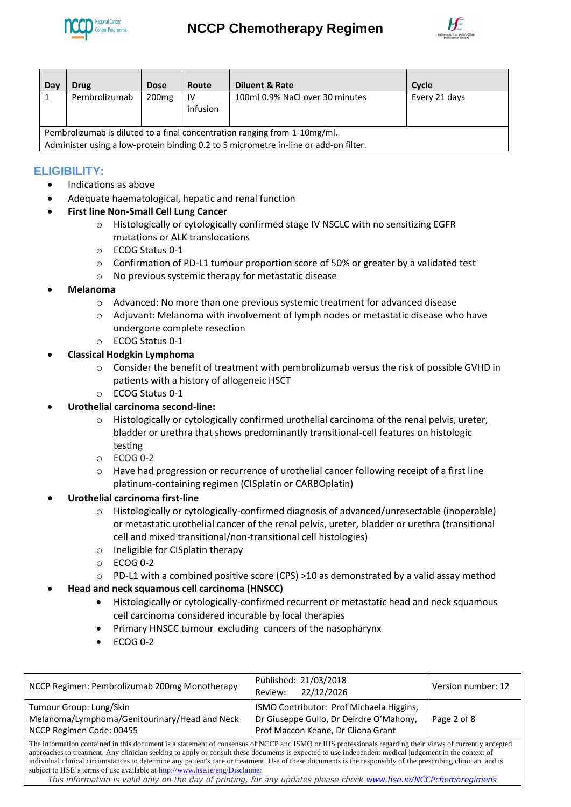

# **NCCP Chemotherapy Regimen**



| Day                                                                                  | <b>Drug</b>   | <b>Dose</b>       | Route          | <b>Diluent &amp; Rate</b>       | Cycle         |
|--------------------------------------------------------------------------------------|---------------|-------------------|----------------|---------------------------------|---------------|
|                                                                                      | Pembrolizumab | 200 <sub>mg</sub> | 1V<br>infusion | 100ml 0.9% NaCl over 30 minutes | Every 21 days |
| Pembrolizumab is diluted to a final concentration ranging from 1-10mg/ml.            |               |                   |                |                                 |               |
| Administer using a low-protein binding 0.2 to 5 micrometre in-line or add-on filter. |               |                   |                |                                 |               |

# **ELIGIBILITY:**

- Indications as above
- Adequate haematological, hepatic and renal function
- **First line Non-Small Cell Lung Cancer** 
	- o Histologically or cytologically confirmed stage IV NSCLC with no sensitizing EGFR mutations or ALK translocations
	- o ECOG Status 0-1
	- $\circ$  Confirmation of PD-L1 tumour proportion score of 50% or greater by a validated test
	- o No previous systemic therapy for metastatic disease
- **Melanoma**
	- o Advanced: No more than one previous systemic treatment for advanced disease
	- o Adjuvant: Melanoma with involvement of lymph nodes or metastatic disease who have undergone complete resection
	- o ECOG Status 0-1

#### **Classical Hodgkin Lymphoma**

- o Consider the benefit of treatment with pembrolizumab versus the risk of possible GVHD in patients with a history of allogeneic HSCT
- o ECOG Status 0-1
- **Urothelial carcinoma second-line:**
	- o Histologically or cytologically confirmed urothelial carcinoma of the renal pelvis, ureter, bladder or urethra that shows predominantly transitional-cell features on histologic testing
	- $O$  ECOG 0-2
	- o Have had progression or recurrence of urothelial cancer following receipt of a first line platinum-containing regimen (CISplatin or CARBOplatin)
- **Urothelial carcinoma first-line**
	- o Histologically or cytologically-confirmed diagnosis of advanced/unresectable (inoperable) or metastatic urothelial cancer of the renal pelvis, ureter, bladder or urethra (transitional cell and mixed transitional/non-transitional cell histologies)
	- o Ineligible for CISplatin therapy
	- o ECOG 0-2
	- o PD-L1 with a combined positive score (CPS) >10 as demonstrated by a valid assay method

#### **Head and neck squamous cell carcinoma (HNSCC)**

- Histologically or cytologically-confirmed recurrent or metastatic head and neck squamous cell carcinoma considered incurable by local therapies
- Primary HNSCC tumour excluding cancers of the nasopharynx
- ECOG 0-2

| NCCP Regimen: Pembrolizumab 200mg Monotherapy                                                                                                                                                                                                                                                                                                                                                                                                                                                                                                                      | Published: 21/03/2018<br>22/12/2026<br>Review:                                                                            | Version number: 12 |  |
|--------------------------------------------------------------------------------------------------------------------------------------------------------------------------------------------------------------------------------------------------------------------------------------------------------------------------------------------------------------------------------------------------------------------------------------------------------------------------------------------------------------------------------------------------------------------|---------------------------------------------------------------------------------------------------------------------------|--------------------|--|
| Tumour Group: Lung/Skin<br>Melanoma/Lymphoma/Genitourinary/Head and Neck<br>NCCP Regimen Code: 00455                                                                                                                                                                                                                                                                                                                                                                                                                                                               | ISMO Contributor: Prof Michaela Higgins,<br>Dr Giuseppe Gullo, Dr Deirdre O'Mahony,<br>Prof Maccon Keane, Dr Cliona Grant | Page 2 of 8        |  |
| The information contained in this document is a statement of consensus of NCCP and ISMO or IHS professionals regarding their views of currently accepted<br>approaches to treatment. Any clinician seeking to apply or consult these documents is expected to use independent medical judgement in the context of<br>individual clinical circumstances to determine any patient's care or treatment. Use of these documents is the responsibly of the prescribing clinician, and is<br>subject to HSE's terms of use available at http://www.hse.ie/eng/Disclaimer |                                                                                                                           |                    |  |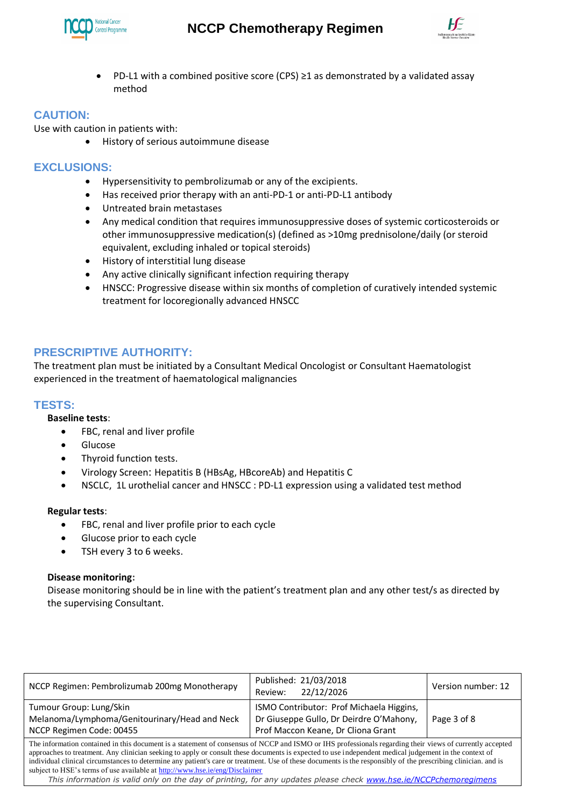



PD-L1 with a combined positive score (CPS)  $\geq$ 1 as demonstrated by a validated assay method

# **CAUTION:**

Use with caution in patients with:

History of serious autoimmune disease

## **EXCLUSIONS:**

- Hypersensitivity to pembrolizumab or any of the excipients.
- Has received prior therapy with an anti-PD-1 or anti-PD-L1 antibody
- Untreated brain metastases
- Any medical condition that requires immunosuppressive doses of systemic corticosteroids or other immunosuppressive medication(s) (defined as >10mg prednisolone/daily (or steroid equivalent, excluding inhaled or topical steroids)
- History of interstitial lung disease
- Any active clinically significant infection requiring therapy
- HNSCC: Progressive disease within six months of completion of curatively intended systemic treatment for locoregionally advanced HNSCC

# **PRESCRIPTIVE AUTHORITY:**

The treatment plan must be initiated by a Consultant Medical Oncologist or Consultant Haematologist experienced in the treatment of haematological malignancies

#### **TESTS:**

#### **Baseline tests**:

- FBC, renal and liver profile
- **•** Glucose
- Thyroid function tests.
- Virology Screen: Hepatitis B (HBsAg, HBcoreAb) and Hepatitis C
- NSCLC, 1L urothelial cancer and HNSCC : PD-L1 expression using a validated test method

#### **Regular tests**:

- FBC, renal and liver profile prior to each cycle
- Glucose prior to each cycle
- TSH every 3 to 6 weeks.

#### **Disease monitoring:**

Disease monitoring should be in line with the patient's treatment plan and any other test/s as directed by the supervising Consultant.

| NCCP Regimen: Pembrolizumab 200mg Monotherapy                                                                                                                                                                                                                                                                                                                                                                                                                                                                                                                           | Published: 21/03/2018<br>22/12/2026<br>Review:                                                                            | Version number: 12 |  |
|-------------------------------------------------------------------------------------------------------------------------------------------------------------------------------------------------------------------------------------------------------------------------------------------------------------------------------------------------------------------------------------------------------------------------------------------------------------------------------------------------------------------------------------------------------------------------|---------------------------------------------------------------------------------------------------------------------------|--------------------|--|
| Tumour Group: Lung/Skin<br>Melanoma/Lymphoma/Genitourinary/Head and Neck<br>NCCP Regimen Code: 00455                                                                                                                                                                                                                                                                                                                                                                                                                                                                    | ISMO Contributor: Prof Michaela Higgins,<br>Dr Giuseppe Gullo, Dr Deirdre O'Mahony,<br>Prof Maccon Keane, Dr Cliona Grant | Page 3 of 8        |  |
| The information contained in this document is a statement of consensus of NCCP and ISMO or IHS professionals regarding their views of currently accepted<br>approaches to treatment. Any clinician seeking to apply or consult these documents is expected to use independent medical judgement in the context of<br>individual clinical circumstances to determine any patient's care or treatment. Use of these documents is the responsibly of the prescribing clinician, and is<br>subject to HSE's terms of use available at http://www.hse.ie/eng/Disclaimer<br>. |                                                                                                                           |                    |  |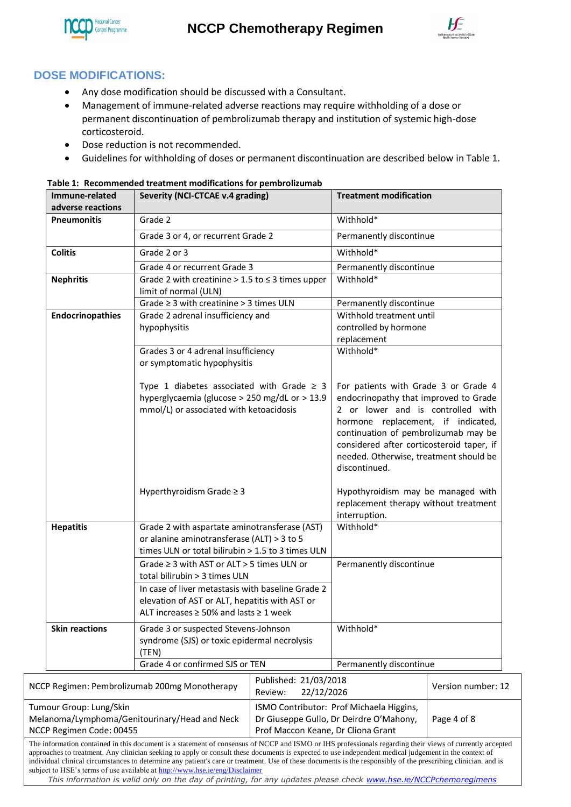



# **DOSE MODIFICATIONS:**

- Any dose modification should be discussed with a Consultant.
- Management of immune-related adverse reactions may require withholding of a dose or permanent discontinuation of pembrolizumab therapy and institution of systemic high-dose corticosteroid.
- Dose reduction is not recommended.
- Guidelines for withholding of doses or permanent discontinuation are described below in Table 1.

| Immune-related<br>adverse reactions                                                                  | Severity (NCI-CTCAE v.4 grading)                                                                                                                                                                                                                                                                                                                                                                                                                                                                                                                                   |                                                                                                                                                               |                                                                                                                                                                                                                                                                                                          | <b>Treatment modification</b> |
|------------------------------------------------------------------------------------------------------|--------------------------------------------------------------------------------------------------------------------------------------------------------------------------------------------------------------------------------------------------------------------------------------------------------------------------------------------------------------------------------------------------------------------------------------------------------------------------------------------------------------------------------------------------------------------|---------------------------------------------------------------------------------------------------------------------------------------------------------------|----------------------------------------------------------------------------------------------------------------------------------------------------------------------------------------------------------------------------------------------------------------------------------------------------------|-------------------------------|
| <b>Pneumonitis</b>                                                                                   | Grade 2                                                                                                                                                                                                                                                                                                                                                                                                                                                                                                                                                            |                                                                                                                                                               | Withhold*                                                                                                                                                                                                                                                                                                |                               |
|                                                                                                      | Grade 3 or 4, or recurrent Grade 2                                                                                                                                                                                                                                                                                                                                                                                                                                                                                                                                 |                                                                                                                                                               | Permanently discontinue                                                                                                                                                                                                                                                                                  |                               |
| <b>Colitis</b>                                                                                       | Grade 2 or 3                                                                                                                                                                                                                                                                                                                                                                                                                                                                                                                                                       |                                                                                                                                                               | Withhold*                                                                                                                                                                                                                                                                                                |                               |
|                                                                                                      | Grade 4 or recurrent Grade 3                                                                                                                                                                                                                                                                                                                                                                                                                                                                                                                                       |                                                                                                                                                               | Permanently discontinue                                                                                                                                                                                                                                                                                  |                               |
| <b>Nephritis</b>                                                                                     | Grade 2 with creatinine $> 1.5$ to $\leq 3$ times upper<br>limit of normal (ULN)                                                                                                                                                                                                                                                                                                                                                                                                                                                                                   |                                                                                                                                                               | Withhold*                                                                                                                                                                                                                                                                                                |                               |
|                                                                                                      | Grade $\geq$ 3 with creatinine $>$ 3 times ULN                                                                                                                                                                                                                                                                                                                                                                                                                                                                                                                     |                                                                                                                                                               | Permanently discontinue                                                                                                                                                                                                                                                                                  |                               |
| <b>Endocrinopathies</b>                                                                              | Grade 2 adrenal insufficiency and<br>hypophysitis                                                                                                                                                                                                                                                                                                                                                                                                                                                                                                                  |                                                                                                                                                               | Withhold treatment until<br>controlled by hormone<br>replacement                                                                                                                                                                                                                                         |                               |
|                                                                                                      | Grades 3 or 4 adrenal insufficiency<br>or symptomatic hypophysitis                                                                                                                                                                                                                                                                                                                                                                                                                                                                                                 |                                                                                                                                                               | Withhold*                                                                                                                                                                                                                                                                                                |                               |
|                                                                                                      | Type 1 diabetes associated with Grade $\geq$ 3<br>hyperglycaemia (glucose > 250 mg/dL or > 13.9<br>mmol/L) or associated with ketoacidosis                                                                                                                                                                                                                                                                                                                                                                                                                         |                                                                                                                                                               | For patients with Grade 3 or Grade 4<br>endocrinopathy that improved to Grade<br>2 or lower and is controlled with<br>hormone replacement, if indicated,<br>continuation of pembrolizumab may be<br>considered after corticosteroid taper, if<br>needed. Otherwise, treatment should be<br>discontinued. |                               |
|                                                                                                      | Hyperthyroidism Grade $\geq 3$                                                                                                                                                                                                                                                                                                                                                                                                                                                                                                                                     |                                                                                                                                                               | Hypothyroidism may be managed with<br>replacement therapy without treatment<br>interruption.                                                                                                                                                                                                             |                               |
| <b>Hepatitis</b>                                                                                     |                                                                                                                                                                                                                                                                                                                                                                                                                                                                                                                                                                    | Withhold*<br>Grade 2 with aspartate aminotransferase (AST)<br>or alanine aminotransferase (ALT) > 3 to 5<br>times ULN or total bilirubin > 1.5 to 3 times ULN |                                                                                                                                                                                                                                                                                                          |                               |
|                                                                                                      | Grade $\geq$ 3 with AST or ALT > 5 times ULN or<br>total bilirubin > 3 times ULN<br>In case of liver metastasis with baseline Grade 2<br>elevation of AST or ALT, hepatitis with AST or<br>ALT increases $\geq$ 50% and lasts $\geq$ 1 week                                                                                                                                                                                                                                                                                                                        |                                                                                                                                                               | Permanently discontinue                                                                                                                                                                                                                                                                                  |                               |
| <b>Skin reactions</b>                                                                                | Grade 3 or suspected Stevens-Johnson<br>syndrome (SJS) or toxic epidermal necrolysis<br>(TEN)                                                                                                                                                                                                                                                                                                                                                                                                                                                                      |                                                                                                                                                               | Withhold*                                                                                                                                                                                                                                                                                                |                               |
|                                                                                                      | Grade 4 or confirmed SJS or TEN                                                                                                                                                                                                                                                                                                                                                                                                                                                                                                                                    |                                                                                                                                                               | Permanently discontinue                                                                                                                                                                                                                                                                                  |                               |
|                                                                                                      | NCCP Regimen: Pembrolizumab 200mg Monotherapy                                                                                                                                                                                                                                                                                                                                                                                                                                                                                                                      | Published: 21/03/2018<br>22/12/2026<br>Review:                                                                                                                |                                                                                                                                                                                                                                                                                                          | Version number: 12            |
| Tumour Group: Lung/Skin<br>Melanoma/Lymphoma/Genitourinary/Head and Neck<br>NCCP Regimen Code: 00455 |                                                                                                                                                                                                                                                                                                                                                                                                                                                                                                                                                                    | Prof Maccon Keane, Dr Cliona Grant                                                                                                                            | ISMO Contributor: Prof Michaela Higgins,<br>Dr Giuseppe Gullo, Dr Deirdre O'Mahony,                                                                                                                                                                                                                      | Page 4 of 8                   |
|                                                                                                      | The information contained in this document is a statement of consensus of NCCP and ISMO or IHS professionals regarding their views of currently accepted<br>approaches to treatment. Any clinician seeking to apply or consult these documents is expected to use independent medical judgement in the context of<br>individual clinical circumstances to determine any patient's care or treatment. Use of these documents is the responsibly of the prescribing clinician, and is<br>subject to HSE's terms of use available at http://www.hse.ie/eng/Disclaimer |                                                                                                                                                               |                                                                                                                                                                                                                                                                                                          |                               |

**Table 1: Recommended treatment modifications for pembrolizumab**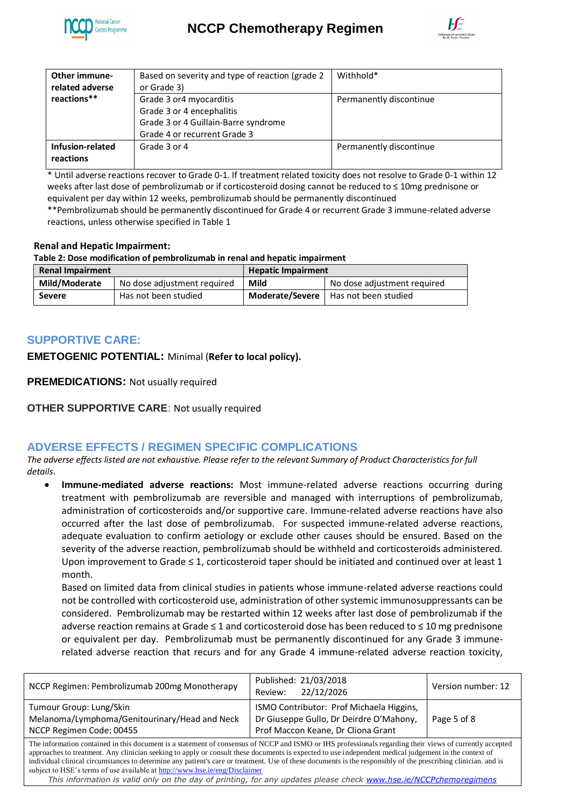



| Other immune-    | Based on severity and type of reaction (grade 2 | Withhold*               |
|------------------|-------------------------------------------------|-------------------------|
| related adverse  | or Grade 3)                                     |                         |
| reactions**      | Grade 3 or4 myocarditis                         | Permanently discontinue |
|                  | Grade 3 or 4 encephalitis                       |                         |
|                  | Grade 3 or 4 Guillain-Barre syndrome            |                         |
|                  | Grade 4 or recurrent Grade 3                    |                         |
| Infusion-related | Grade 3 or 4                                    | Permanently discontinue |
| reactions        |                                                 |                         |

\* Until adverse reactions recover to Grade 0-1. If treatment related toxicity does not resolve to Grade 0-1 within 12 weeks after last dose of pembrolizumab or if corticosteroid dosing cannot be reduced to ≤ 10mg prednisone or equivalent per day within 12 weeks, pembrolizumab should be permanently discontinued

\*\*Pembrolizumab should be permanently discontinued for Grade 4 or recurrent Grade 3 immune-related adverse reactions, unless otherwise specified in Table 1

#### **Renal and Hepatic Impairment:**

**Table 2: Dose modification of pembrolizumab in renal and hepatic impairment**

| <b>Renal Impairment</b> |                             | <b>Hepatic Impairment</b> |                                        |
|-------------------------|-----------------------------|---------------------------|----------------------------------------|
| Mild/Moderate           | No dose adjustment required | Mild                      | No dose adjustment required            |
| Severe                  | Has not been studied        |                           | Moderate/Severe   Has not been studied |

# **SUPPORTIVE CARE:**

**EMETOGENIC POTENTIAL:** Minimal (**Refer to local policy).**

**PREMEDICATIONS:** Not usually required

**OTHER SUPPORTIVE CARE**: Not usually required

# **ADVERSE EFFECTS / REGIMEN SPECIFIC COMPLICATIONS**

*The adverse effects listed are not exhaustive. Please refer to the relevant Summary of Product Characteristics for full details*.

 **Immune-mediated adverse reactions:** Most immune-related adverse reactions occurring during treatment with pembrolizumab are reversible and managed with interruptions of pembrolizumab, administration of corticosteroids and/or supportive care. Immune-related adverse reactions have also occurred after the last dose of pembrolizumab. For suspected immune-related adverse reactions, adequate evaluation to confirm aetiology or exclude other causes should be ensured. Based on the severity of the adverse reaction, pembrolizumab should be withheld and corticosteroids administered. Upon improvement to Grade  $\leq 1$ , corticosteroid taper should be initiated and continued over at least 1 month.

Based on limited data from clinical studies in patients whose immune-related adverse reactions could not be controlled with corticosteroid use, administration of other systemic immunosuppressants can be considered. Pembrolizumab may be restarted within 12 weeks after last dose of pembrolizumab if the adverse reaction remains at Grade ≤ 1 and corticosteroid dose has been reduced to ≤ 10 mg prednisone or equivalent per day. Pembrolizumab must be permanently discontinued for any Grade 3 immunerelated adverse reaction that recurs and for any Grade 4 immune-related adverse reaction toxicity,

| NCCP Regimen: Pembrolizumab 200mg Monotherapy                                                                                                                                                                                                                                                                                                                                                                                                                                                                                                                                                                                                                                          | Published: 21/03/2018<br>22/12/2026<br>Review:                                                                            | Version number: 12 |  |
|----------------------------------------------------------------------------------------------------------------------------------------------------------------------------------------------------------------------------------------------------------------------------------------------------------------------------------------------------------------------------------------------------------------------------------------------------------------------------------------------------------------------------------------------------------------------------------------------------------------------------------------------------------------------------------------|---------------------------------------------------------------------------------------------------------------------------|--------------------|--|
| Tumour Group: Lung/Skin<br>Melanoma/Lymphoma/Genitourinary/Head and Neck<br>NCCP Regimen Code: 00455                                                                                                                                                                                                                                                                                                                                                                                                                                                                                                                                                                                   | ISMO Contributor: Prof Michaela Higgins,<br>Dr Giuseppe Gullo, Dr Deirdre O'Mahony,<br>Prof Maccon Keane, Dr Cliona Grant | Page 5 of 8        |  |
| The information contained in this document is a statement of consensus of NCCP and ISMO or IHS professionals regarding their views of currently accepted<br>approaches to treatment. Any clinician seeking to apply or consult these documents is expected to use independent medical judgement in the context of<br>individual clinical circumstances to determine any patient's care or treatment. Use of these documents is the responsibly of the prescribing clinician, and is<br>subject to HSE's terms of use available at http://www.hse.ie/eng/Disclaimer<br>This information is valid only on the day of printing, for any undates please check www.bse je/NCCPchemoregimens |                                                                                                                           |                    |  |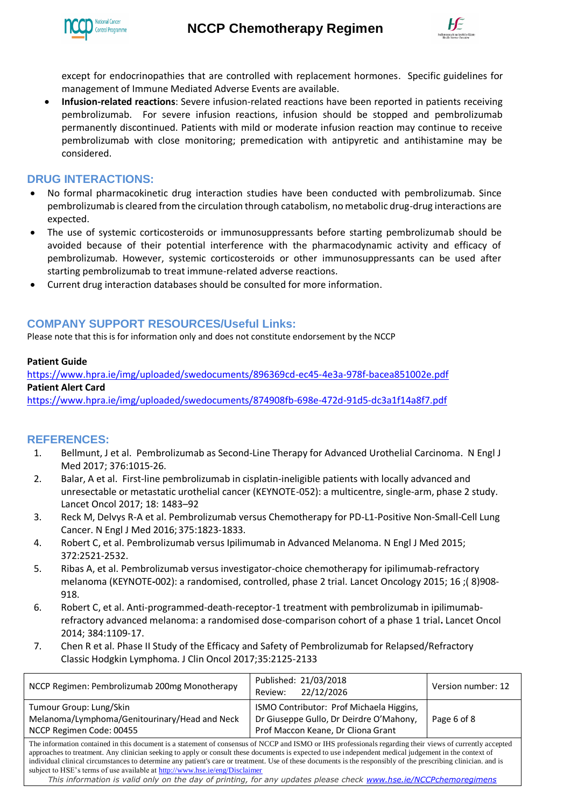



except for endocrinopathies that are controlled with replacement hormones. Specific guidelines for management of Immune Mediated Adverse Events are available.

 **Infusion-related reactions**: Severe infusion-related reactions have been reported in patients receiving pembrolizumab. For severe infusion reactions, infusion should be stopped and pembrolizumab permanently discontinued. Patients with mild or moderate infusion reaction may continue to receive pembrolizumab with close monitoring; premedication with antipyretic and antihistamine may be considered.

## **DRUG INTERACTIONS:**

- No formal pharmacokinetic drug interaction studies have been conducted with pembrolizumab. Since pembrolizumab is cleared from the circulation through catabolism, no metabolic drug-drug interactions are expected.
- The use of systemic corticosteroids or immunosuppressants before starting pembrolizumab should be avoided because of their potential interference with the pharmacodynamic activity and efficacy of pembrolizumab. However, systemic corticosteroids or other immunosuppressants can be used after starting pembrolizumab to treat immune-related adverse reactions.
- Current drug interaction databases should be consulted for more information.

# **COMPANY SUPPORT RESOURCES/Useful Links:**

Please note that this is for information only and does not constitute endorsement by the NCCP

#### **Patient Guide**

<https://www.hpra.ie/img/uploaded/swedocuments/896369cd-ec45-4e3a-978f-bacea851002e.pdf> **Patient Alert Card**

<https://www.hpra.ie/img/uploaded/swedocuments/874908fb-698e-472d-91d5-dc3a1f14a8f7.pdf>

### **REFERENCES:**

- 1. Bellmunt, J et al. Pembrolizumab as Second-Line Therapy for Advanced Urothelial Carcinoma. N Engl J Med 2017; 376:1015-26.
- 2. Balar, A et al. First-line pembrolizumab in cisplatin-ineligible patients with locally advanced and unresectable or metastatic urothelial cancer (KEYNOTE-052): a multicentre, single-arm, phase 2 study. Lancet Oncol 2017; 18: 1483–92
- 3. Reck M, Delvys R-A et al. Pembrolizumab versus Chemotherapy for PD-L1-Positive Non-Small-Cell Lung Cancer. N Engl J Med 2016;375:1823-1833.
- 4. Robert C, et al. Pembrolizumab versus Ipilimumab in Advanced Melanoma. N Engl J Med 2015; 372:2521-2532.
- 5. Ribas A, et al. Pembrolizumab versus investigator-choice chemotherapy for ipilimumab-refractory melanoma (KEYNOTE**-**002): a randomised, controlled, phase 2 trial. Lancet Oncology 2015; 16 ;( 8)908- 918.
- 6. Robert C, et al. Anti-programmed-death-receptor-1 treatment with pembrolizumab in ipilimumabrefractory advanced melanoma: a randomised dose-comparison cohort of a phase 1 trial**.** Lancet Oncol 2014; 384:1109-17.
- 7. Chen R et al. Phase II Study of the Efficacy and Safety of Pembrolizumab for Relapsed/Refractory Classic Hodgkin Lymphoma. J Clin Oncol 2017;35:2125-2133

| NCCP Regimen: Pembrolizumab 200mg Monotherapy                                                                                                                                                                                                                                                                                                                                                                                                                                                                                                                      | Published: 21/03/2018<br>22/12/2026<br>Review:                                                                            | Version number: 12 |  |
|--------------------------------------------------------------------------------------------------------------------------------------------------------------------------------------------------------------------------------------------------------------------------------------------------------------------------------------------------------------------------------------------------------------------------------------------------------------------------------------------------------------------------------------------------------------------|---------------------------------------------------------------------------------------------------------------------------|--------------------|--|
| Tumour Group: Lung/Skin<br>Melanoma/Lymphoma/Genitourinary/Head and Neck<br>NCCP Regimen Code: 00455                                                                                                                                                                                                                                                                                                                                                                                                                                                               | ISMO Contributor: Prof Michaela Higgins,<br>Dr Giuseppe Gullo, Dr Deirdre O'Mahony,<br>Prof Maccon Keane, Dr Cliona Grant | Page 6 of 8        |  |
| The information contained in this document is a statement of consensus of NCCP and ISMO or IHS professionals regarding their views of currently accepted<br>approaches to treatment. Any clinician seeking to apply or consult these documents is expected to use independent medical judgement in the context of<br>individual clinical circumstances to determine any patient's care or treatment. Use of these documents is the responsibly of the prescribing clinician, and is<br>subject to HSE's terms of use available at http://www.hse.ie/eng/Disclaimer |                                                                                                                           |                    |  |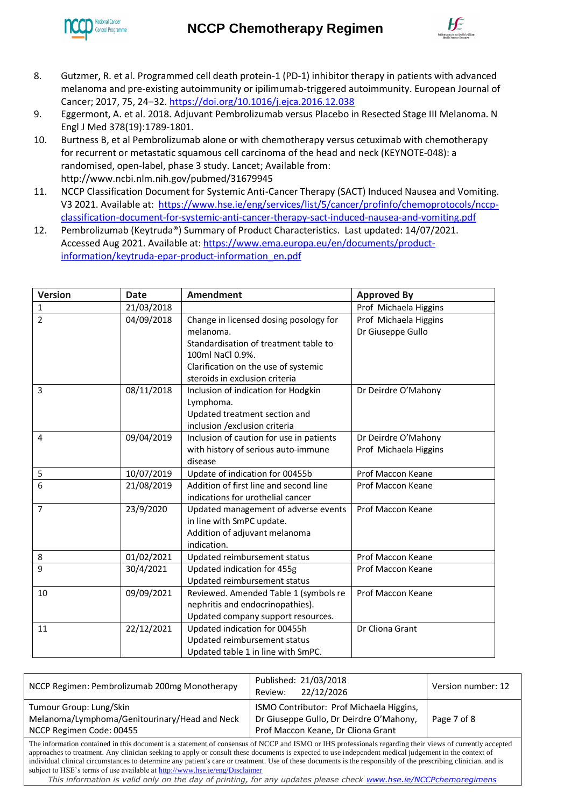



- 8. Gutzmer, R. et al. Programmed cell death protein-1 (PD-1) inhibitor therapy in patients with advanced melanoma and pre-existing autoimmunity or ipilimumab-triggered autoimmunity. European Journal of Cancer; 2017, 75, 24–32.<https://doi.org/10.1016/j.ejca.2016.12.038>
- 9. Eggermont, A. et al. 2018. Adjuvant Pembrolizumab versus Placebo in Resected Stage III Melanoma. N Engl J Med 378(19):1789-1801.
- 10. Burtness B, et al Pembrolizumab alone or with chemotherapy versus cetuximab with chemotherapy for recurrent or metastatic squamous cell carcinoma of the head and neck (KEYNOTE-048): a randomised, open-label, phase 3 study. Lancet; Available from: http://www.ncbi.nlm.nih.gov/pubmed/31679945
- 11. NCCP Classification Document for Systemic Anti-Cancer Therapy (SACT) Induced Nausea and Vomiting. V3 2021. Available at: [https://www.hse.ie/eng/services/list/5/cancer/profinfo/chemoprotocols/nccp](https://www.hse.ie/eng/services/list/5/cancer/profinfo/chemoprotocols/nccp-classification-document-for-systemic-anti-cancer-therapy-sact-induced-nausea-and-vomiting.pdf)[classification-document-for-systemic-anti-cancer-therapy-sact-induced-nausea-and-vomiting.pdf](https://www.hse.ie/eng/services/list/5/cancer/profinfo/chemoprotocols/nccp-classification-document-for-systemic-anti-cancer-therapy-sact-induced-nausea-and-vomiting.pdf)
- 12. Pembrolizumab (Keytruda®) Summary of Product Characteristics. Last updated: 14/07/2021. Accessed Aug 2021. Available at: [https://www.ema.europa.eu/en/documents/product](https://www.ema.europa.eu/en/documents/product-information/keytruda-epar-product-information_en.pdf)[information/keytruda-epar-product-information\\_en.pdf](https://www.ema.europa.eu/en/documents/product-information/keytruda-epar-product-information_en.pdf)

| <b>Version</b> | <b>Date</b> | <b>Amendment</b>                         | <b>Approved By</b>    |
|----------------|-------------|------------------------------------------|-----------------------|
| $\mathbf{1}$   | 21/03/2018  |                                          | Prof Michaela Higgins |
| $\overline{2}$ | 04/09/2018  | Change in licensed dosing posology for   | Prof Michaela Higgins |
|                |             | melanoma.                                | Dr Giuseppe Gullo     |
|                |             | Standardisation of treatment table to    |                       |
|                |             | 100ml NaCl 0.9%.                         |                       |
|                |             | Clarification on the use of systemic     |                       |
|                |             | steroids in exclusion criteria           |                       |
| 3              | 08/11/2018  | Inclusion of indication for Hodgkin      | Dr Deirdre O'Mahony   |
|                |             | Lymphoma.                                |                       |
|                |             | Updated treatment section and            |                       |
|                |             | inclusion / exclusion criteria           |                       |
| 4              | 09/04/2019  | Inclusion of caution for use in patients | Dr Deirdre O'Mahony   |
|                |             | with history of serious auto-immune      | Prof Michaela Higgins |
|                |             | disease                                  |                       |
| 5              | 10/07/2019  | Update of indication for 00455b          | Prof Maccon Keane     |
| 6              | 21/08/2019  | Addition of first line and second line   | Prof Maccon Keane     |
|                |             | indications for urothelial cancer        |                       |
| $\overline{7}$ | 23/9/2020   | Updated management of adverse events     | Prof Maccon Keane     |
|                |             | in line with SmPC update.                |                       |
|                |             | Addition of adjuvant melanoma            |                       |
|                |             | indication.                              |                       |
| 8              | 01/02/2021  | Updated reimbursement status             | Prof Maccon Keane     |
| 9              | 30/4/2021   | Updated indication for 455g              | Prof Maccon Keane     |
|                |             | Updated reimbursement status             |                       |
| 10             | 09/09/2021  | Reviewed. Amended Table 1 (symbols re    | Prof Maccon Keane     |
|                |             | nephritis and endocrinopathies).         |                       |
|                |             | Updated company support resources.       |                       |
| 11             | 22/12/2021  | Updated indication for 00455h            | Dr Cliona Grant       |
|                |             | Updated reimbursement status             |                       |
|                |             | Updated table 1 in line with SmPC.       |                       |

| NCCP Regimen: Pembrolizumab 200mg Monotherapy                                                                                                                                                                                                                                                                       | Published: 21/03/2018<br>22/12/2026<br>Review:                                                                            | Version number: 12 |  |
|---------------------------------------------------------------------------------------------------------------------------------------------------------------------------------------------------------------------------------------------------------------------------------------------------------------------|---------------------------------------------------------------------------------------------------------------------------|--------------------|--|
| Tumour Group: Lung/Skin<br>Melanoma/Lymphoma/Genitourinary/Head and Neck<br>NCCP Regimen Code: 00455                                                                                                                                                                                                                | ISMO Contributor: Prof Michaela Higgins,<br>Dr Giuseppe Gullo, Dr Deirdre O'Mahony,<br>Prof Maccon Keane, Dr Cliona Grant | Page 7 of 8        |  |
| The information contained in this document is a statement of consensus of NCCP and ISMO or IHS professionals regarding their views of currently accepted<br>entropediate to treatment. Any clinician seaking to apply or consult these documents is expected to use independent medical judgement in the context of |                                                                                                                           |                    |  |

eking to apply or consult these docu individual clinical circumstances to determine any patient's care or treatment. Use of these documents is the responsibly of the prescribing clinician. and is subject to HSE's terms of use available at<http://www.hse.ie/eng/Disclaimer>